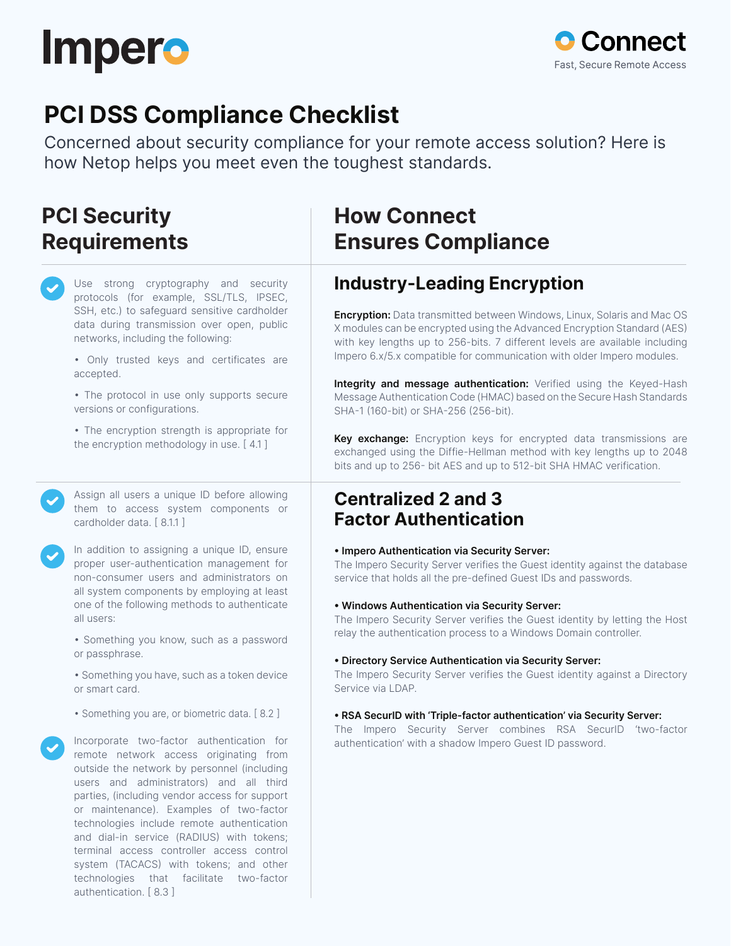



# **PCI DSS Compliance Checklist**

Concerned about security compliance for your remote access solution? Here is how Netop helps you meet even the toughest standards.

## **PCI Security Requirements**

Use strong cryptography and security protocols (for example, SSL/TLS, IPSEC, SSH, etc.) to safeguard sensitive cardholder data during transmission over open, public networks, including the following:

• Only trusted keys and certificates are accepted.

• The protocol in use only supports secure versions or configurations.

• The encryption strength is appropriate for the encryption methodology in use. [ 4.1 ]

Assign all users a unique ID before allowing them to access system components or cardholder data. [ 8.1.1 ]

In addition to assigning a unique ID, ensure proper user-authentication management for non-consumer users and administrators on all system components by employing at least one of the following methods to authenticate all users:

• Something you know, such as a password or passphrase.

• Something you have, such as a token device or smart card.

• Something you are, or biometric data. [ 8.2 ]

Incorporate two-factor authentication for remote network access originating from outside the network by personnel (including users and administrators) and all third parties, (including vendor access for support or maintenance). Examples of two-factor technologies include remote authentication and dial-in service (RADIUS) with tokens; terminal access controller access control system (TACACS) with tokens; and other technologies that facilitate two-factor authentication. [ 8.3 ]

## **How Connect Ensures Compliance**

## **Industry-Leading Encryption**

**Encryption:** Data transmitted between Windows, Linux, Solaris and Mac OS X modules can be encrypted using the Advanced Encryption Standard (AES) with key lengths up to 256-bits. 7 different levels are available including Impero 6.x/5.x compatible for communication with older Impero modules.

**Integrity and message authentication:** Verified using the Keyed-Hash Message Authentication Code (HMAC) based on the Secure Hash Standards SHA-1 (160-bit) or SHA-256 (256-bit).

**Key exchange:** Encryption keys for encrypted data transmissions are exchanged using the Diffie-Hellman method with key lengths up to 2048 bits and up to 256- bit AES and up to 512-bit SHA HMAC verification.

### **Centralized 2 and 3 Factor Authentication**

#### **• Impero Authentication via Security Server:**

The Impero Security Server verifies the Guest identity against the database service that holds all the pre-defined Guest IDs and passwords.

#### **• Windows Authentication via Security Server:**

The Impero Security Server verifies the Guest identity by letting the Host relay the authentication process to a Windows Domain controller.

#### **• Directory Service Authentication via Security Server:**

The Impero Security Server verifies the Guest identity against a Directory Service via LDAP.

#### **• RSA SecurID with 'Triple-factor authentication' via Security Server:**

The Impero Security Server combines RSA SecurID 'two-factor authentication' with a shadow Impero Guest ID password.